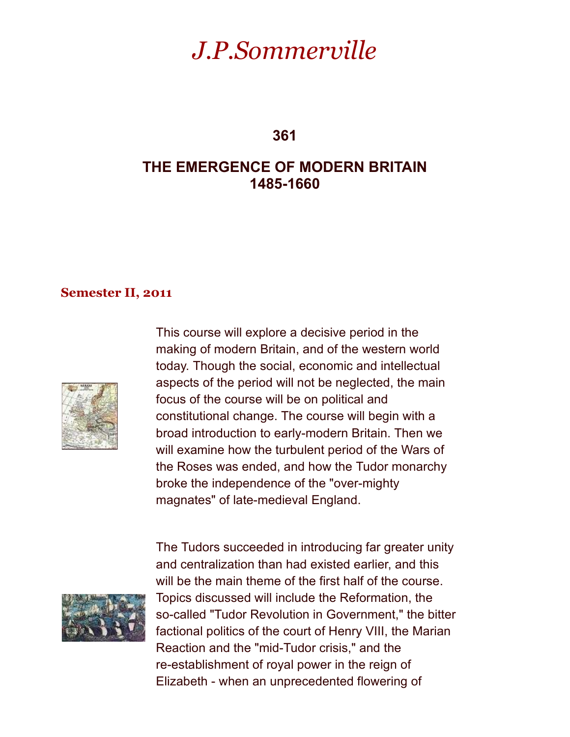# *J.P.Sommerville*

**361**

# **THE EMERGENCE OF MODERN BRITAIN 1485-1660**

#### **Semester II, 2011**



This course will explore a decisive period in the making of modern Britain, and of the western world today. Though the social, economic and intellectual aspects of the period will not be neglected, the main focus of the course will be on political and constitutional change. The course will begin with a broad introduction to early-modern Britain. Then we will examine how the turbulent period of the Wars of the Roses was ended, and how the Tudor monarchy broke the independence of the "over-mighty magnates" of late-medieval England.



The Tudors succeeded in introducing far greater unity and centralization than had existed earlier, and this will be the main theme of the first half of the course. Topics discussed will include the Reformation, the so-called "Tudor Revolution in Government," the bitter factional politics of the court of Henry VIII, the Marian Reaction and the "mid-Tudor crisis," and the re-establishment of royal power in the reign of Elizabeth - when an unprecedented flowering of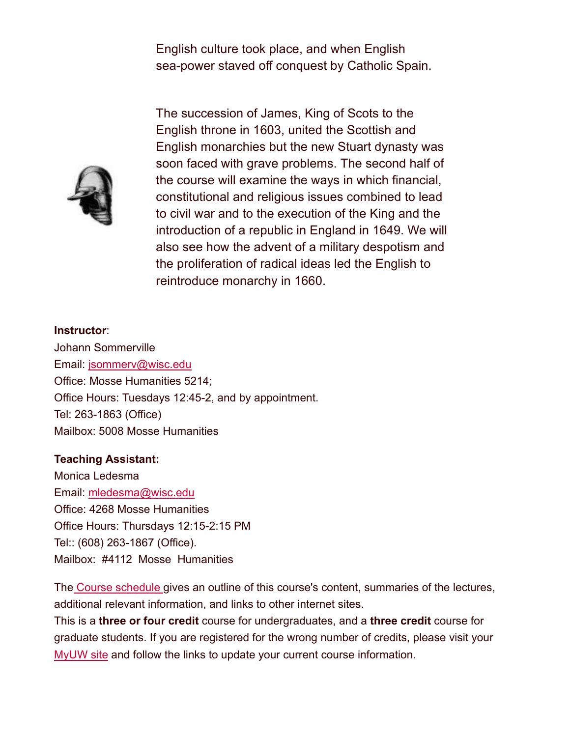English culture took place, and when English sea-power staved off conquest by Catholic Spain.



The succession of James, King of Scots to the English throne in 1603, united the Scottish and English monarchies but the new Stuart dynasty was soon faced with grave problems. The second half of the course will examine the ways in which financial, constitutional and religious issues combined to lead to civil war and to the execution of the King and the introduction of a republic in England in 1649. We will also see how the advent of a military despotism and the proliferation of radical ideas led the English to reintroduce monarchy in 1660.

## **Instructor**: Johann Sommerville Email: jsommerv@wisc.edu Office: Mosse Humanities 5214; Office Hours: Tuesdays 12:45-2, and by appointment. Tel: 263-1863 (Office) Mailbox: 5008 Mosse Humanities

#### **Teaching Assistant:**

Monica Ledesma Email: mledesma@wisc.edu Office: 4268 Mosse Humanities Office Hours: Thursdays 12:15-2:15 PM Tel:: (608) 263-1867 (Office). Mailbox: #4112 Mosse Humanities

The Course schedule gives an outline of this course's content, summaries of the lectures, additional relevant information, and links to other internet sites.

This is a **three or four credit** course for undergraduates, and a **three credit** course for graduate students. If you are registered for the wrong number of credits, please visit your MyUW site and follow the links to update your current course information.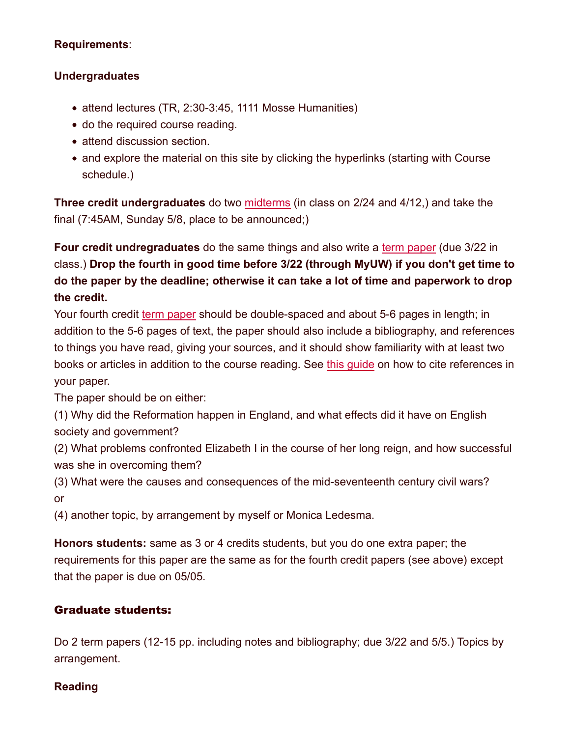#### **Requirements**:

#### **Undergraduates**

- attend lectures (TR, 2:30-3:45, 1111 Mosse Humanities)
- do the required course reading.
- attend discussion section.
- and explore the material on this site by clicking the hyperlinks (starting with Course schedule.)

**Three credit undergraduates** do two midterms (in class on 2/24 and 4/12,) and take the final (7:45AM, Sunday 5/8, place to be announced;)

**Four credit undregraduates** do the same things and also write a term paper (due 3/22 in class.) **Drop the fourth in good time before 3/22 (through MyUW) if you don't get time to do the paper by the deadline; otherwise it can take a lot of time and paperwork to drop the credit.**

Your fourth credit term paper should be double-spaced and about 5-6 pages in length; in addition to the 5-6 pages of text, the paper should also include a bibliography, and references to things you have read, giving your sources, and it should show familiarity with at least two books or articles in addition to the course reading. See this guide on how to cite references in your paper.

The paper should be on either:

(1) Why did the Reformation happen in England, and what effects did it have on English society and government?

(2) What problems confronted Elizabeth I in the course of her long reign, and how successful was she in overcoming them?

(3) What were the causes and consequences of the mid-seventeenth century civil wars? or

(4) another topic, by arrangement by myself or Monica Ledesma.

**Honors students:** same as 3 or 4 credits students, but you do one extra paper; the requirements for this paper are the same as for the fourth credit papers (see above) except that the paper is due on 05/05.

#### Graduate students:

Do 2 term papers (12-15 pp. including notes and bibliography; due 3/22 and 5/5.) Topics by arrangement.

#### **Reading**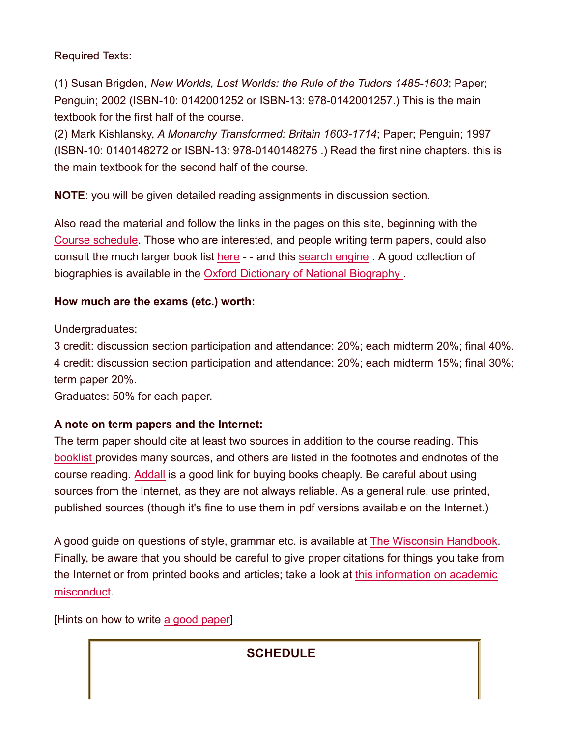Required Texts:

(1) Susan Brigden, *New Worlds, Lost Worlds: the Rule of the Tudors 1485-1603*; Paper; Penguin; 2002 (ISBN-10: 0142001252 or ISBN-13: 978-0142001257.) This is the main textbook for the first half of the course.

(2) Mark Kishlansky, *A Monarchy Transformed: Britain 1603-1714*; Paper; Penguin; 1997 (ISBN-10: 0140148272 or ISBN-13: 978-0140148275 .) Read the first nine chapters. this is the main textbook for the second half of the course.

**NOTE**: you will be given detailed reading assignments in discussion section.

Also read the material and follow the links in the pages on this site, beginning with the Course schedule. Those who are interested, and people writing term papers, could also consult the much larger book list here - - and this search engine . A good collection of biographies is available in the Oxford Dictionary of National Biography .

## **How much are the exams (etc.) worth:**

Undergraduates:

3 credit: discussion section participation and attendance: 20%; each midterm 20%; final 40%. 4 credit: discussion section participation and attendance: 20%; each midterm 15%; final 30%; term paper 20%.

Graduates: 50% for each paper.

## **A note on term papers and the Internet:**

The term paper should cite at least two sources in addition to the course reading. This booklist provides many sources, and others are listed in the footnotes and endnotes of the course reading. Addall is a good link for buying books cheaply. Be careful about using sources from the Internet, as they are not always reliable. As a general rule, use printed, published sources (though it's fine to use them in pdf versions available on the Internet.)

A good guide on questions of style, grammar etc. is available at The Wisconsin Handbook. Finally, be aware that you should be careful to give proper citations for things you take from the Internet or from printed books and articles; take a look at this information on academic misconduct.

[Hints on how to write a good paper]

## **SCHEDULE**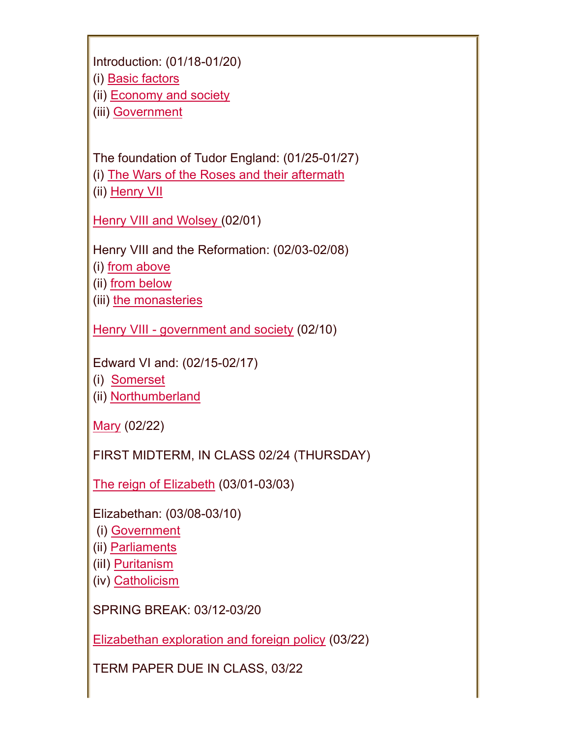| Introduction: (01/18-01/20) |
|-----------------------------|
| (i) Basic factors           |
| (ii) Economy and society    |
| (iii) Government            |

The foundation of Tudor England: (01/25-01/27)

(i) The Wars of the Roses and their aftermath

(ii) Henry VII

Henry VIII and Wolsey (02/01)

Henry VIII and the Reformation: (02/03-02/08)

(i) from above

(ii) from below

(iii) the monasteries

Henry VIII - government and society (02/10)

Edward VI and: (02/15-02/17)

(i) Somerset

(ii) Northumberland

Mary (02/22)

FIRST MIDTERM, IN CLASS 02/24 (THURSDAY)

The reign of Elizabeth (03/01-03/03)

Elizabethan: (03/08-03/10)

(i) Government

(ii) Parliaments

(iiI) Puritanism

(iv) Catholicism

SPRING BREAK: 03/12-03/20

Elizabethan exploration and foreign policy (03/22)

TERM PAPER DUE IN CLASS, 03/22